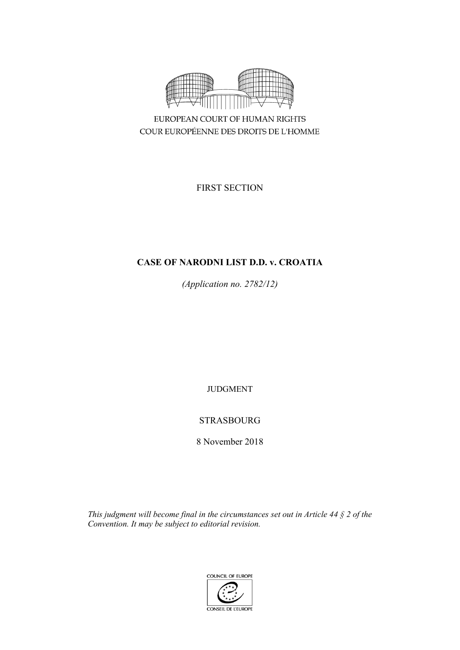

COUR EUROPÉENNE DES DROITS DE L'HOMME

FIRST SECTION

# **CASE OF NARODNI LIST D.D. v. CROATIA**

*(Application no. 2782/12)*

JUDGMENT

# STRASBOURG

8 November 2018

*This judgment will become final in the circumstances set out in Article 44 § 2 of the Convention. It may be subject to editorial revision.*

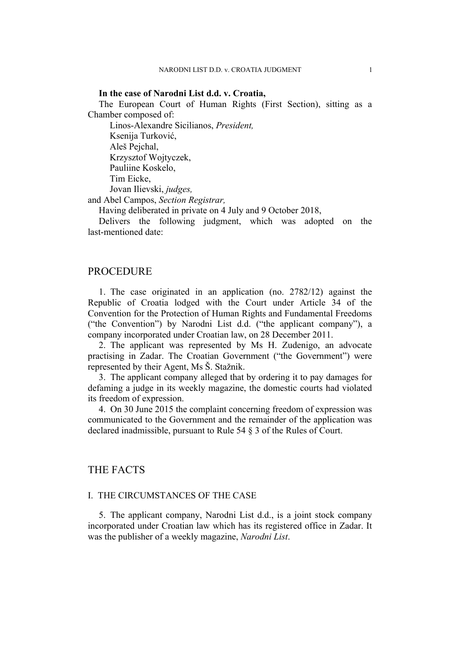## **In the case of Narodni List d.d. v. Croatia,**

The European Court of Human Rights (First Section), sitting as a Chamber composed of:

Linos-Alexandre Sicilianos, *President,* Ksenija Turković, Aleš Pejchal, Krzysztof Wojtyczek, Pauliine Koskelo, Tim Eicke, Jovan Ilievski, *judges,* and Abel Campos, *Section Registrar,*

Having deliberated in private on 4 July and 9 October 2018,

Delivers the following judgment, which was adopted on the last-mentioned date:

## PROCEDURE

1. The case originated in an application (no. 2782/12) against the Republic of Croatia lodged with the Court under Article 34 of the Convention for the Protection of Human Rights and Fundamental Freedoms ("the Convention") by Narodni List d.d. ("the applicant company"), a company incorporated under Croatian law, on 28 December 2011.

2. The applicant was represented by Ms H. Zudenigo, an advocate practising in Zadar. The Croatian Government ("the Government") were represented by their Agent, Ms Š. Stažnik.

3. The applicant company alleged that by ordering it to pay damages for defaming a judge in its weekly magazine, the domestic courts had violated its freedom of expression.

4. On 30 June 2015 the complaint concerning freedom of expression was communicated to the Government and the remainder of the application was declared inadmissible, pursuant to Rule 54 § 3 of the Rules of Court.

## THE FACTS

## I. THE CIRCUMSTANCES OF THE CASE

5. The applicant company, Narodni List d.d., is a joint stock company incorporated under Croatian law which has its registered office in Zadar. It was the publisher of a weekly magazine, *Narodni List*.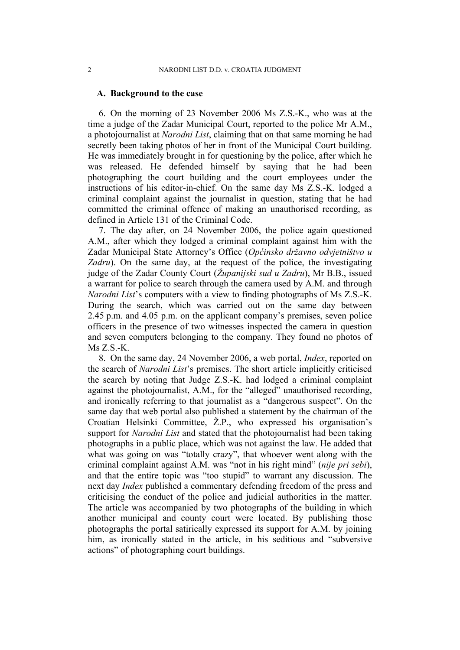## **A. Background to the case**

6. On the morning of 23 November 2006 Ms Z.S.-K., who was at the time a judge of the Zadar Municipal Court, reported to the police Mr A.M., a photojournalist at *Narodni List*, claiming that on that same morning he had secretly been taking photos of her in front of the Municipal Court building. He was immediately brought in for questioning by the police, after which he was released. He defended himself by saying that he had been photographing the court building and the court employees under the instructions of his editor-in-chief. On the same day Ms Z.S.-K. lodged a criminal complaint against the journalist in question, stating that he had committed the criminal offence of making an unauthorised recording, as defined in Article 131 of the Criminal Code.

7. The day after, on 24 November 2006, the police again questioned A.M., after which they lodged a criminal complaint against him with the Zadar Municipal State Attorney's Office (*Općinsko državno odvjetništvo u Zadru*). On the same day, at the request of the police, the investigating judge of the Zadar County Court (*Županijski sud u Zadru*), Mr B.B., issued a warrant for police to search through the camera used by A.M. and through *Narodni List*'s computers with a view to finding photographs of Ms Z.S.-K. During the search, which was carried out on the same day between 2.45 p.m. and 4.05 p.m. on the applicant company's premises, seven police officers in the presence of two witnesses inspected the camera in question and seven computers belonging to the company. They found no photos of Ms Z.S.-K.

8. On the same day, 24 November 2006, a web portal, *Index*, reported on the search of *Narodni List*'s premises. The short article implicitly criticised the search by noting that Judge Z.S.-K. had lodged a criminal complaint against the photojournalist, A.M., for the "alleged" unauthorised recording, and ironically referring to that journalist as a "dangerous suspect". On the same day that web portal also published a statement by the chairman of the Croatian Helsinki Committee, Ž.P., who expressed his organisation's support for *Narodni List* and stated that the photojournalist had been taking photographs in a public place, which was not against the law. He added that what was going on was "totally crazy", that whoever went along with the criminal complaint against A.M. was "not in his right mind" (*nije pri sebi*), and that the entire topic was "too stupid" to warrant any discussion. The next day *Index* published a commentary defending freedom of the press and criticising the conduct of the police and judicial authorities in the matter. The article was accompanied by two photographs of the building in which another municipal and county court were located. By publishing those photographs the portal satirically expressed its support for A.M. by joining him, as ironically stated in the article, in his seditious and "subversive actions" of photographing court buildings.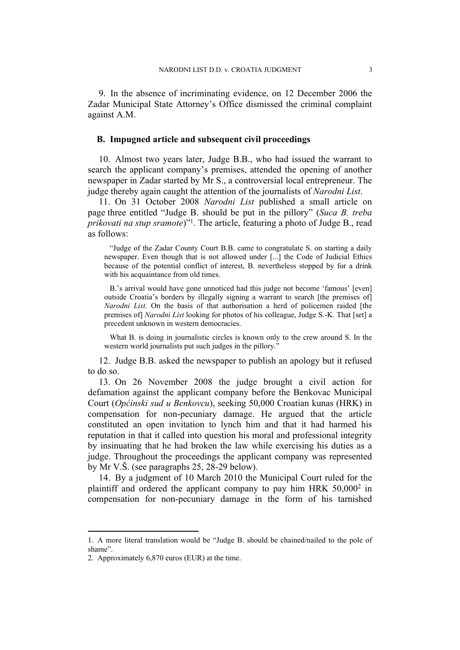9. In the absence of incriminating evidence, on 12 December 2006 the Zadar Municipal State Attorney's Office dismissed the criminal complaint against A.M.

## **B. Impugned article and subsequent civil proceedings**

10. Almost two years later, Judge B.B., who had issued the warrant to search the applicant company's premises, attended the opening of another newspaper in Zadar started by Mr S., a controversial local entrepreneur. The judge thereby again caught the attention of the journalists of *Narodni List*.

11. On 31 October 2008 *Narodni List* published a small article on page three entitled "Judge B. should be put in the pillory" (*Suca B. treba prikovati na stup sramote*)"<sup>1</sup> . The article, featuring a photo of Judge B., read as follows:

"Judge of the Zadar County Court B.B. came to congratulate S. on starting a daily newspaper. Even though that is not allowed under [...] the Code of Judicial Ethics because of the potential conflict of interest, B. nevertheless stopped by for a drink with his acquaintance from old times.

B.'s arrival would have gone unnoticed had this judge not become 'famous' [even] outside Croatia's borders by illegally signing a warrant to search [the premises of] *Narodni List*. On the basis of that authorisation a herd of policemen raided [the premises of] *Narodni List* looking for photos of his colleague, Judge S.-K. That [set] a precedent unknown in western democracies.

What B. is doing in journalistic circles is known only to the crew around S. In the western world journalists put such judges in the pillory.<sup>"</sup>

12. Judge B.B. asked the newspaper to publish an apology but it refused to do so.

13. On 26 November 2008 the judge brought a civil action for defamation against the applicant company before the Benkovac Municipal Court (*Općinski sud u Benkovcu*), seeking 50,000 Croatian kunas (HRK) in compensation for non-pecuniary damage. He argued that the article constituted an open invitation to lynch him and that it had harmed his reputation in that it called into question his moral and professional integrity by insinuating that he had broken the law while exercising his duties as a judge. Throughout the proceedings the applicant company was represented by Mr V.Š. (see paragraphs 25, 28-29 below).

14. By a judgment of 10 March 2010 the Municipal Court ruled for the plaintiff and ordered the applicant company to pay him HRK 50,000<sup>2</sup> in compensation for non-pecuniary damage in the form of his tarnished

<sup>1.</sup> A more literal translation would be "Judge B. should be chained/nailed to the pole of shame".

<sup>2.</sup> Approximately 6,870 euros (EUR) at the time.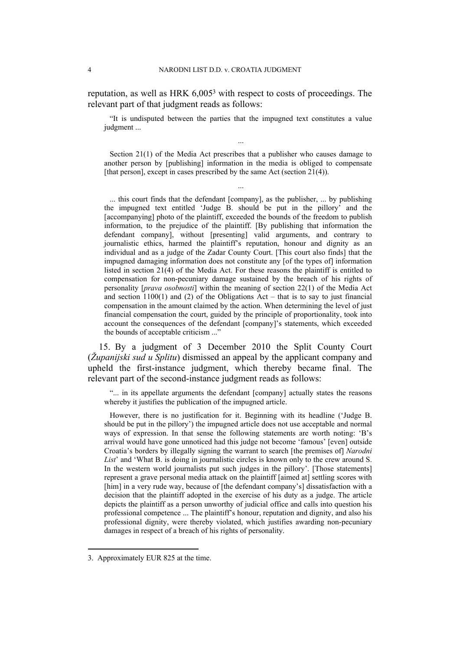reputation, as well as HRK 6,005<sup>3</sup> with respect to costs of proceedings. The relevant part of that judgment reads as follows:

"It is undisputed between the parties that the impugned text constitutes a value judgment ...

...

Section 21(1) of the Media Act prescribes that a publisher who causes damage to another person by [publishing] information in the media is obliged to compensate [that person], except in cases prescribed by the same Act (section 21(4)).

...

... this court finds that the defendant [company], as the publisher, ... by publishing the impugned text entitled 'Judge B. should be put in the pillory' and the [accompanying] photo of the plaintiff, exceeded the bounds of the freedom to publish information, to the prejudice of the plaintiff. [By publishing that information the defendant company], without [presenting] valid arguments, and contrary to journalistic ethics, harmed the plaintiff's reputation, honour and dignity as an individual and as a judge of the Zadar County Court. [This court also finds] that the impugned damaging information does not constitute any [of the types of] information listed in section 21(4) of the Media Act. For these reasons the plaintiff is entitled to compensation for non-pecuniary damage sustained by the breach of his rights of personality [*prava osobnosti*] within the meaning of section 22(1) of the Media Act and section  $1100(1)$  and (2) of the Obligations Act – that is to say to just financial compensation in the amount claimed by the action. When determining the level of just financial compensation the court, guided by the principle of proportionality, took into account the consequences of the defendant [company]'s statements, which exceeded the bounds of acceptable criticism ..."

15. By a judgment of 3 December 2010 the Split County Court (*Županijski sud u Splitu*) dismissed an appeal by the applicant company and upheld the first-instance judgment, which thereby became final. The relevant part of the second-instance judgment reads as follows:

"... in its appellate arguments the defendant [company] actually states the reasons whereby it justifies the publication of the impugned article.

However, there is no justification for it. Beginning with its headline ('Judge B. should be put in the pillory') the impugned article does not use acceptable and normal ways of expression. In that sense the following statements are worth noting: 'B's arrival would have gone unnoticed had this judge not become 'famous' [even] outside Croatia's borders by illegally signing the warrant to search [the premises of] *Narodni List*' and 'What B. is doing in journalistic circles is known only to the crew around S. In the western world journalists put such judges in the pillory'. [Those statements] represent a grave personal media attack on the plaintiff [aimed at] settling scores with [him] in a very rude way, because of [the defendant company's] dissatisfaction with a decision that the plaintiff adopted in the exercise of his duty as a judge. The article depicts the plaintiff as a person unworthy of judicial office and calls into question his professional competence ... The plaintiff's honour, reputation and dignity, and also his professional dignity, were thereby violated, which justifies awarding non-pecuniary damages in respect of a breach of his rights of personality.

<sup>3.</sup> Approximately EUR 825 at the time.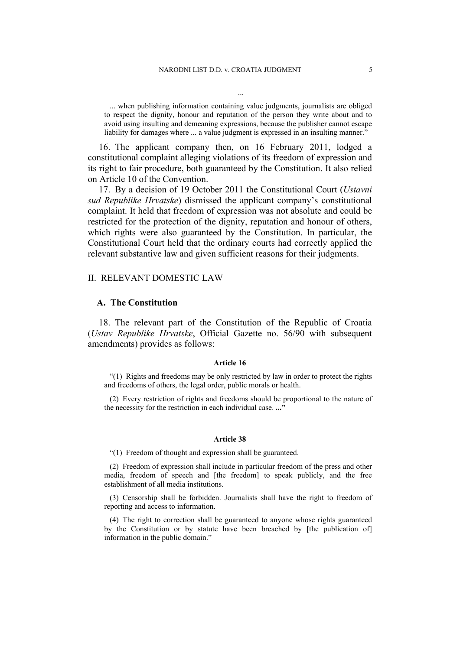... when publishing information containing value judgments, journalists are obliged to respect the dignity, honour and reputation of the person they write about and to avoid using insulting and demeaning expressions, because the publisher cannot escape liability for damages where ... a value judgment is expressed in an insulting manner."

...

16. The applicant company then, on 16 February 2011, lodged a constitutional complaint alleging violations of its freedom of expression and its right to fair procedure, both guaranteed by the Constitution. It also relied on Article 10 of the Convention.

17. By a decision of 19 October 2011 the Constitutional Court (*Ustavni sud Republike Hrvatske*) dismissed the applicant company's constitutional complaint. It held that freedom of expression was not absolute and could be restricted for the protection of the dignity, reputation and honour of others, which rights were also guaranteed by the Constitution. In particular, the Constitutional Court held that the ordinary courts had correctly applied the relevant substantive law and given sufficient reasons for their judgments.

### II. RELEVANT DOMESTIC LAW

### **A. The Constitution**

18. The relevant part of the Constitution of the Republic of Croatia (*Ustav Republike Hrvatske*, Official Gazette no. 56/90 with subsequent amendments) provides as follows:

#### **Article 16**

"(1) Rights and freedoms may be only restricted by law in order to protect the rights and freedoms of others, the legal order, public morals or health.

(2) Every restriction of rights and freedoms should be proportional to the nature of the necessity for the restriction in each individual case. **..."**

#### **Article 38**

"(1) Freedom of thought and expression shall be guaranteed.

(2) Freedom of expression shall include in particular freedom of the press and other media, freedom of speech and [the freedom] to speak publicly, and the free establishment of all media institutions.

(3) Censorship shall be forbidden. Journalists shall have the right to freedom of reporting and access to information.

(4) The right to correction shall be guaranteed to anyone whose rights guaranteed by the Constitution or by statute have been breached by [the publication of] information in the public domain."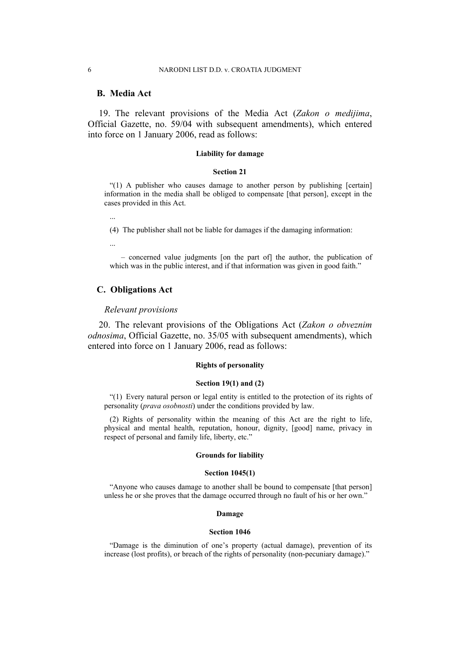## **B. Media Act**

19. The relevant provisions of the Media Act (*Zakon o medijima*, Official Gazette, no. 59/04 with subsequent amendments), which entered into force on 1 January 2006, read as follows:

#### **Liability for damage**

#### **Section 21**

"(1) A publisher who causes damage to another person by publishing [certain] information in the media shall be obliged to compensate [that person], except in the cases provided in this Act.

...

(4) The publisher shall not be liable for damages if the damaging information:

...

– concerned value judgments [on the part of] the author, the publication of which was in the public interest, and if that information was given in good faith."

## **C. Obligations Act**

### *Relevant provisions*

20. The relevant provisions of the Obligations Act (*Zakon o obveznim odnosima*, Official Gazette, no. 35/05 with subsequent amendments), which entered into force on 1 January 2006, read as follows:

### **Rights of personality**

#### **Section 19(1) and (2)**

"(1) Every natural person or legal entity is entitled to the protection of its rights of personality (*prava osobnosti*) under the conditions provided by law.

(2) Rights of personality within the meaning of this Act are the right to life, physical and mental health, reputation, honour, dignity, [good] name, privacy in respect of personal and family life, liberty, etc."

#### **Grounds for liability**

#### **Section 1045(1)**

"Anyone who causes damage to another shall be bound to compensate [that person] unless he or she proves that the damage occurred through no fault of his or her own."

#### **Damage**

#### **Section 1046**

"Damage is the diminution of one's property (actual damage), prevention of its increase (lost profits), or breach of the rights of personality (non-pecuniary damage)."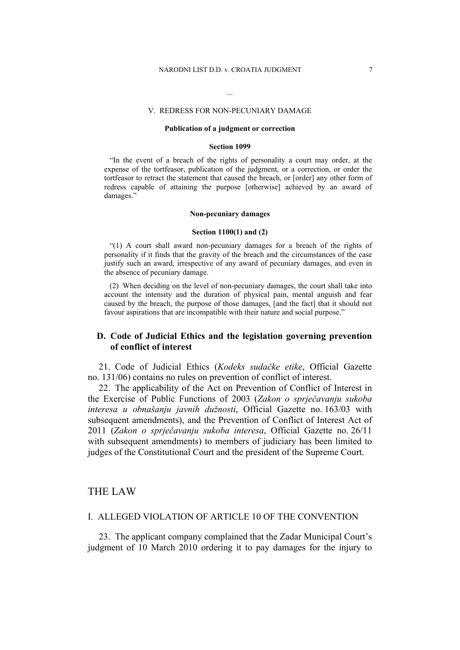#### V. REDRESS FOR NON-PECUNIARY DAMAGE

...

#### **Publication of a judgment or correction**

#### **Section 1099**

"In the event of a breach of the rights of personality a court may order, at the expense of the tortfeasor, publication of the judgment, or a correction, or order the tortfeasor to retract the statement that caused the breach, or [order] any other form of redress capable of attaining the purpose [otherwise] achieved by an award of damages."

#### **Non-pecuniary damages**

#### **Section 1100(1) and (2)**

"(1) A court shall award non-pecuniary damages for a breach of the rights of personality if it finds that the gravity of the breach and the circumstances of the case justify such an award, irrespective of any award of pecuniary damages, and even in the absence of pecuniary damage.

(2) When deciding on the level of non-pecuniary damages, the court shall take into account the intensity and the duration of physical pain, mental anguish and fear caused by the breach, the purpose of those damages, [and the fact] that it should not favour aspirations that are incompatible with their nature and social purpose."

## **D. Code of Judicial Ethics and the legislation governing prevention of conflict of interest**

21. Code of Judicial Ethics (*Kodeks sudačke etike*, Official Gazette no. 131/06) contains no rules on prevention of conflict of interest.

22. The applicability of the Act on Prevention of Conflict of Interest in the Exercise of Public Functions of 2003 (*Zakon o sprječavanju sukoba interesa u obnašanju javnih dužnosti*, Official Gazette no. 163/03 with subsequent amendments), and the Prevention of Conflict of Interest Act of 2011 (*Zakon o sprječavanju sukoba interesa*, Official Gazette no. 26/11 with subsequent amendments) to members of judiciary has been limited to judges of the Constitutional Court and the president of the Supreme Court.

## THE LAW

## I. ALLEGED VIOLATION OF ARTICLE 10 OF THE CONVENTION

23. The applicant company complained that the Zadar Municipal Court's judgment of 10 March 2010 ordering it to pay damages for the injury to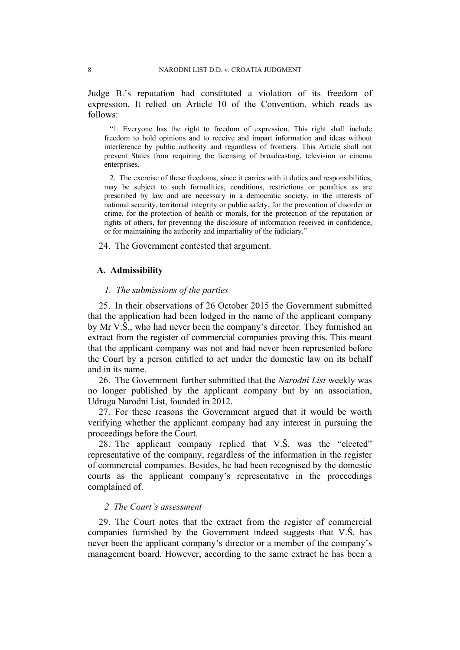Judge B.'s reputation had constituted a violation of its freedom of expression. It relied on Article 10 of the Convention, which reads as follows:

"1. Everyone has the right to freedom of expression. This right shall include freedom to hold opinions and to receive and impart information and ideas without interference by public authority and regardless of frontiers. This Article shall not prevent States from requiring the licensing of broadcasting, television or cinema enterprises.

2. The exercise of these freedoms, since it carries with it duties and responsibilities, may be subject to such formalities, conditions, restrictions or penalties as are prescribed by law and are necessary in a democratic society, in the interests of national security, territorial integrity or public safety, for the prevention of disorder or crime, for the protection of health or morals, for the protection of the reputation or rights of others, for preventing the disclosure of information received in confidence, or for maintaining the authority and impartiality of the judiciary."

24. The Government contested that argument.

### **A. Admissibility**

## *1. The submissions of the parties*

25. In their observations of 26 October 2015 the Government submitted that the application had been lodged in the name of the applicant company by Mr V.Š., who had never been the company's director. They furnished an extract from the register of commercial companies proving this. This meant that the applicant company was not and had never been represented before the Court by a person entitled to act under the domestic law on its behalf and in its name.

26. The Government further submitted that the *Narodni List* weekly was no longer published by the applicant company but by an association, Udruga Narodni List, founded in 2012.

27. For these reasons the Government argued that it would be worth verifying whether the applicant company had any interest in pursuing the proceedings before the Court.

28. The applicant company replied that V.Š. was the "elected" representative of the company, regardless of the information in the register of commercial companies. Besides, he had been recognised by the domestic courts as the applicant company's representative in the proceedings complained of.

## *2 The Court's assessment*

29. The Court notes that the extract from the register of commercial companies furnished by the Government indeed suggests that V.Š. has never been the applicant company's director or a member of the company's management board. However, according to the same extract he has been a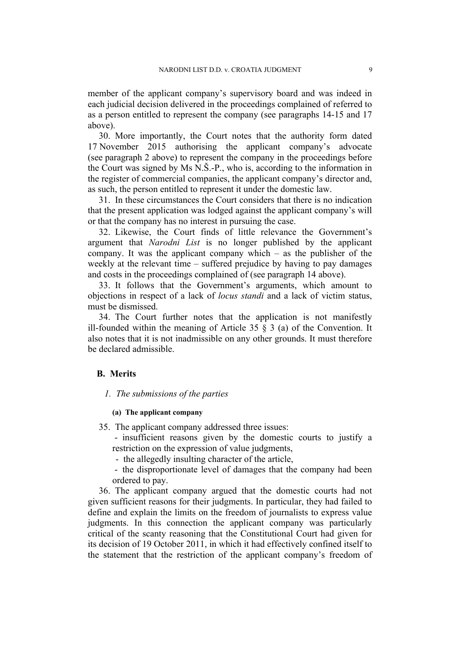member of the applicant company's supervisory board and was indeed in each judicial decision delivered in the proceedings complained of referred to as a person entitled to represent the company (see paragraphs 14-15 and 17 above).

30. More importantly, the Court notes that the authority form dated 17 November 2015 authorising the applicant company's advocate (see paragraph 2 above) to represent the company in the proceedings before the Court was signed by Ms N.Š.-P., who is, according to the information in the register of commercial companies, the applicant company's director and, as such, the person entitled to represent it under the domestic law.

31. In these circumstances the Court considers that there is no indication that the present application was lodged against the applicant company's will or that the company has no interest in pursuing the case.

32. Likewise, the Court finds of little relevance the Government's argument that *Narodni List* is no longer published by the applicant company. It was the applicant company which – as the publisher of the weekly at the relevant time – suffered prejudice by having to pay damages and costs in the proceedings complained of (see paragraph 14 above).

33. It follows that the Government's arguments, which amount to objections in respect of a lack of *locus standi* and a lack of victim status, must be dismissed.

34. The Court further notes that the application is not manifestly ill-founded within the meaning of Article 35  $\S$  3 (a) of the Convention. It also notes that it is not inadmissible on any other grounds. It must therefore be declared admissible.

## **B. Merits**

## *1. The submissions of the parties*

## **(a) The applicant company**

35. The applicant company addressed three issues:

- insufficient reasons given by the domestic courts to justify a restriction on the expression of value judgments,
- the allegedly insulting character of the article,

- the disproportionate level of damages that the company had been ordered to pay.

36. The applicant company argued that the domestic courts had not given sufficient reasons for their judgments. In particular, they had failed to define and explain the limits on the freedom of journalists to express value judgments. In this connection the applicant company was particularly critical of the scanty reasoning that the Constitutional Court had given for its decision of 19 October 2011, in which it had effectively confined itself to the statement that the restriction of the applicant company's freedom of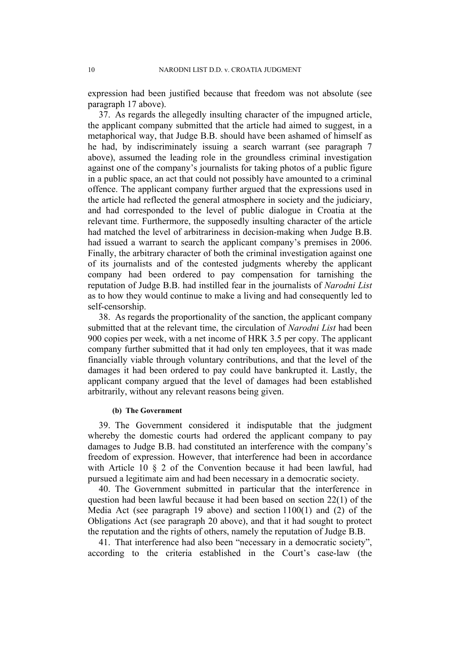expression had been justified because that freedom was not absolute (see paragraph 17 above).

37. As regards the allegedly insulting character of the impugned article, the applicant company submitted that the article had aimed to suggest, in a metaphorical way, that Judge B.B. should have been ashamed of himself as he had, by indiscriminately issuing a search warrant (see paragraph 7 above), assumed the leading role in the groundless criminal investigation against one of the company's journalists for taking photos of a public figure in a public space, an act that could not possibly have amounted to a criminal offence. The applicant company further argued that the expressions used in the article had reflected the general atmosphere in society and the judiciary, and had corresponded to the level of public dialogue in Croatia at the relevant time. Furthermore, the supposedly insulting character of the article had matched the level of arbitrariness in decision-making when Judge B.B. had issued a warrant to search the applicant company's premises in 2006. Finally, the arbitrary character of both the criminal investigation against one of its journalists and of the contested judgments whereby the applicant company had been ordered to pay compensation for tarnishing the reputation of Judge B.B. had instilled fear in the journalists of *Narodni List* as to how they would continue to make a living and had consequently led to self-censorship.

38. As regards the proportionality of the sanction, the applicant company submitted that at the relevant time, the circulation of *Narodni List* had been 900 copies per week, with a net income of HRK 3.5 per copy. The applicant company further submitted that it had only ten employees, that it was made financially viable through voluntary contributions, and that the level of the damages it had been ordered to pay could have bankrupted it. Lastly, the applicant company argued that the level of damages had been established arbitrarily, without any relevant reasons being given.

## **(b) The Government**

39. The Government considered it indisputable that the judgment whereby the domestic courts had ordered the applicant company to pay damages to Judge B.B. had constituted an interference with the company's freedom of expression. However, that interference had been in accordance with Article 10 § 2 of the Convention because it had been lawful, had pursued a legitimate aim and had been necessary in a democratic society.

40. The Government submitted in particular that the interference in question had been lawful because it had been based on section 22(1) of the Media Act (see paragraph 19 above) and section 1100(1) and (2) of the Obligations Act (see paragraph 20 above), and that it had sought to protect the reputation and the rights of others, namely the reputation of Judge B.B.

41. That interference had also been "necessary in a democratic society", according to the criteria established in the Court's case-law (the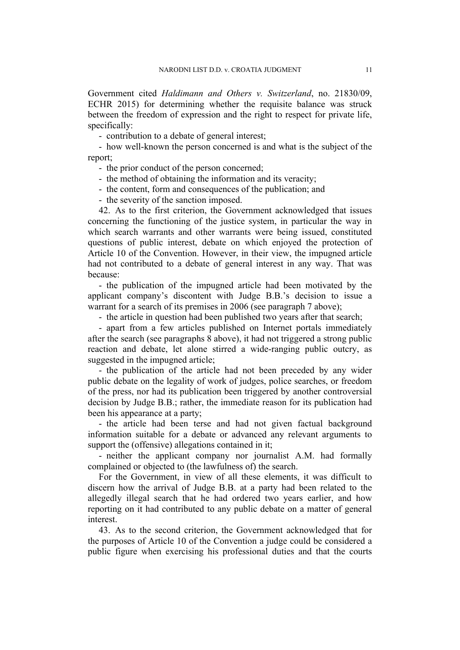Government cited *Haldimann and Others v. Switzerland*, no. 21830/09, ECHR 2015) for determining whether the requisite balance was struck between the freedom of expression and the right to respect for private life, specifically:

- contribution to a debate of general interest;

- how well-known the person concerned is and what is the subject of the report;

- the prior conduct of the person concerned;

- the method of obtaining the information and its veracity;

- the content, form and consequences of the publication; and

- the severity of the sanction imposed.

42. As to the first criterion, the Government acknowledged that issues concerning the functioning of the justice system, in particular the way in which search warrants and other warrants were being issued, constituted questions of public interest, debate on which enjoyed the protection of Article 10 of the Convention. However, in their view, the impugned article had not contributed to a debate of general interest in any way. That was because:

- the publication of the impugned article had been motivated by the applicant company's discontent with Judge B.B.'s decision to issue a warrant for a search of its premises in 2006 (see paragraph 7 above);

- the article in question had been published two years after that search;

- apart from a few articles published on Internet portals immediately after the search (see paragraphs 8 above), it had not triggered a strong public reaction and debate, let alone stirred a wide-ranging public outcry, as suggested in the impugned article;

- the publication of the article had not been preceded by any wider public debate on the legality of work of judges, police searches, or freedom of the press, nor had its publication been triggered by another controversial decision by Judge B.B.; rather, the immediate reason for its publication had been his appearance at a party;

- the article had been terse and had not given factual background information suitable for a debate or advanced any relevant arguments to support the (offensive) allegations contained in it;

- neither the applicant company nor journalist A.M. had formally complained or objected to (the lawfulness of) the search.

For the Government, in view of all these elements, it was difficult to discern how the arrival of Judge B.B. at a party had been related to the allegedly illegal search that he had ordered two years earlier, and how reporting on it had contributed to any public debate on a matter of general interest.

43. As to the second criterion, the Government acknowledged that for the purposes of Article 10 of the Convention a judge could be considered a public figure when exercising his professional duties and that the courts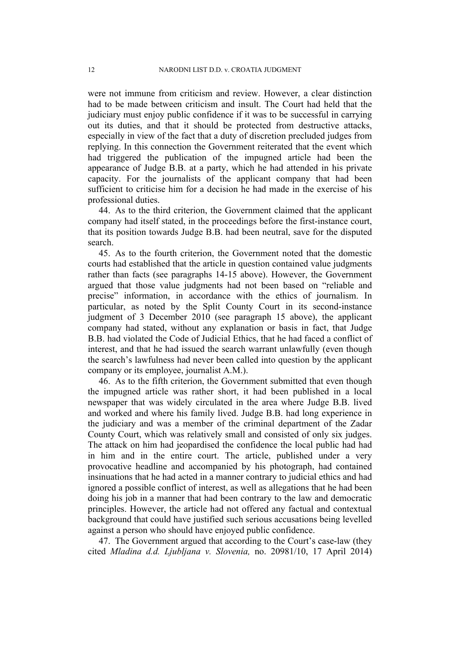were not immune from criticism and review. However, a clear distinction had to be made between criticism and insult. The Court had held that the judiciary must enjoy public confidence if it was to be successful in carrying out its duties, and that it should be protected from destructive attacks, especially in view of the fact that a duty of discretion precluded judges from replying. In this connection the Government reiterated that the event which had triggered the publication of the impugned article had been the appearance of Judge B.B. at a party, which he had attended in his private capacity. For the journalists of the applicant company that had been sufficient to criticise him for a decision he had made in the exercise of his professional duties.

44. As to the third criterion, the Government claimed that the applicant company had itself stated, in the proceedings before the first-instance court, that its position towards Judge B.B. had been neutral, save for the disputed search.

45. As to the fourth criterion, the Government noted that the domestic courts had established that the article in question contained value judgments rather than facts (see paragraphs 14-15 above). However, the Government argued that those value judgments had not been based on "reliable and precise" information, in accordance with the ethics of journalism. In particular, as noted by the Split County Court in its second-instance judgment of 3 December 2010 (see paragraph 15 above), the applicant company had stated, without any explanation or basis in fact, that Judge B.B. had violated the Code of Judicial Ethics, that he had faced a conflict of interest, and that he had issued the search warrant unlawfully (even though the search's lawfulness had never been called into question by the applicant company or its employee, journalist A.M.).

46. As to the fifth criterion, the Government submitted that even though the impugned article was rather short, it had been published in a local newspaper that was widely circulated in the area where Judge B.B. lived and worked and where his family lived. Judge B.B. had long experience in the judiciary and was a member of the criminal department of the Zadar County Court, which was relatively small and consisted of only six judges. The attack on him had jeopardised the confidence the local public had had in him and in the entire court. The article, published under a very provocative headline and accompanied by his photograph, had contained insinuations that he had acted in a manner contrary to judicial ethics and had ignored a possible conflict of interest, as well as allegations that he had been doing his job in a manner that had been contrary to the law and democratic principles. However, the article had not offered any factual and contextual background that could have justified such serious accusations being levelled against a person who should have enjoyed public confidence.

47. The Government argued that according to the Court's case-law (they cited *Mladina d.d. Ljubljana v. Slovenia,* no. 20981/10, 17 April 2014)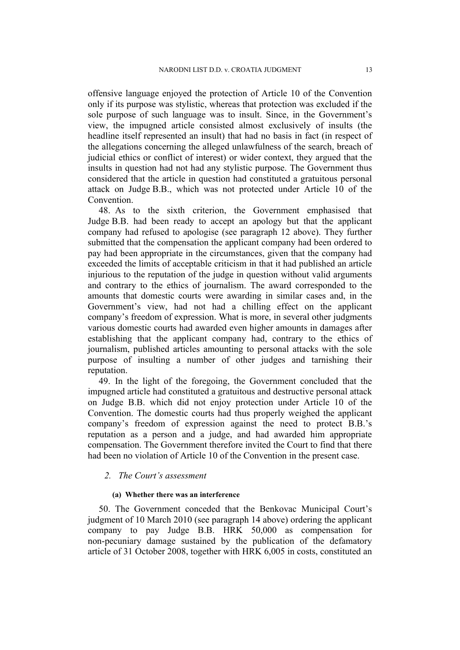offensive language enjoyed the protection of Article 10 of the Convention only if its purpose was stylistic, whereas that protection was excluded if the sole purpose of such language was to insult. Since, in the Government's view, the impugned article consisted almost exclusively of insults (the headline itself represented an insult) that had no basis in fact (in respect of the allegations concerning the alleged unlawfulness of the search, breach of judicial ethics or conflict of interest) or wider context, they argued that the insults in question had not had any stylistic purpose. The Government thus considered that the article in question had constituted a gratuitous personal attack on Judge B.B., which was not protected under Article 10 of the **Convention** 

48. As to the sixth criterion, the Government emphasised that Judge B.B. had been ready to accept an apology but that the applicant company had refused to apologise (see paragraph 12 above). They further submitted that the compensation the applicant company had been ordered to pay had been appropriate in the circumstances, given that the company had exceeded the limits of acceptable criticism in that it had published an article injurious to the reputation of the judge in question without valid arguments and contrary to the ethics of journalism. The award corresponded to the amounts that domestic courts were awarding in similar cases and, in the Government's view, had not had a chilling effect on the applicant company's freedom of expression. What is more, in several other judgments various domestic courts had awarded even higher amounts in damages after establishing that the applicant company had, contrary to the ethics of journalism, published articles amounting to personal attacks with the sole purpose of insulting a number of other judges and tarnishing their reputation.

49. In the light of the foregoing, the Government concluded that the impugned article had constituted a gratuitous and destructive personal attack on Judge B.B. which did not enjoy protection under Article 10 of the Convention. The domestic courts had thus properly weighed the applicant company's freedom of expression against the need to protect B.B.'s reputation as a person and a judge, and had awarded him appropriate compensation. The Government therefore invited the Court to find that there had been no violation of Article 10 of the Convention in the present case.

## *2. The Court's assessment*

## **(a) Whether there was an interference**

50. The Government conceded that the Benkovac Municipal Court's judgment of 10 March 2010 (see paragraph 14 above) ordering the applicant company to pay Judge B.B. HRK 50,000 as compensation for non-pecuniary damage sustained by the publication of the defamatory article of 31 October 2008, together with HRK 6,005 in costs, constituted an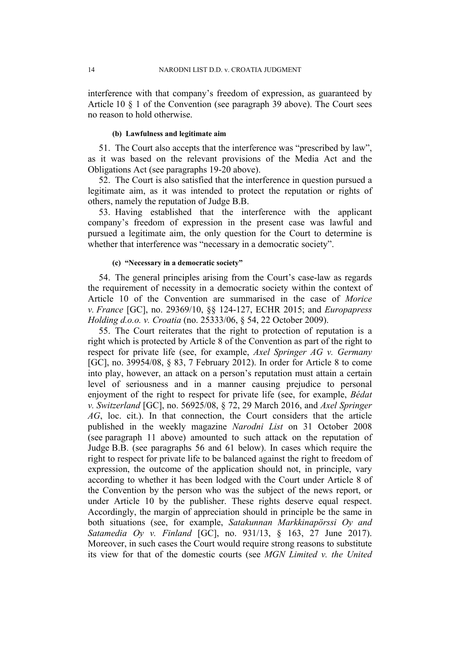interference with that company's freedom of expression, as guaranteed by Article 10 § 1 of the Convention (see paragraph 39 above). The Court sees no reason to hold otherwise.

## **(b) Lawfulness and legitimate aim**

51. The Court also accepts that the interference was "prescribed by law", as it was based on the relevant provisions of the Media Act and the Obligations Act (see paragraphs 19-20 above).

52. The Court is also satisfied that the interference in question pursued a legitimate aim, as it was intended to protect the reputation or rights of others, namely the reputation of Judge B.B.

53. Having established that the interference with the applicant company's freedom of expression in the present case was lawful and pursued a legitimate aim, the only question for the Court to determine is whether that interference was "necessary in a democratic society".

### **(c) "Necessary in a democratic society"**

54. The general principles arising from the Court's case-law as regards the requirement of necessity in a democratic society within the context of Article 10 of the Convention are summarised in the case of *Morice v. France* [GC], no. 29369/10, §§ 124-127, ECHR 2015; and *Europapress Holding d.o.o. v. Croatia* (no. 25333/06, § 54, 22 October 2009).

55. The Court reiterates that the right to protection of reputation is a right which is protected by Article 8 of the Convention as part of the right to respect for private life (see, for example, *Axel Springer AG v. Germany* [GC], no. 39954/08, § 83, 7 February 2012). In order for Article 8 to come into play, however, an attack on a person's reputation must attain a certain level of seriousness and in a manner causing prejudice to personal enjoyment of the right to respect for private life (see, for example, *Bédat v. Switzerland* [GC], no. 56925/08, § 72, 29 March 2016, and *Axel Springer AG*, loc. cit.). In that connection, the Court considers that the article published in the weekly magazine *Narodni List* on 31 October 2008 (see paragraph 11 above) amounted to such attack on the reputation of Judge B.B. (see paragraphs 56 and 61 below). In cases which require the right to respect for private life to be balanced against the right to freedom of expression, the outcome of the application should not, in principle, vary according to whether it has been lodged with the Court under Article 8 of the Convention by the person who was the subject of the news report, or under Article 10 by the publisher. These rights deserve equal respect. Accordingly, the margin of appreciation should in principle be the same in both situations (see, for example, *Satakunnan Markkinapörssi Oy and Satamedia Oy v. Finland* [GC], no. 931/13, § 163, 27 June 2017). Moreover, in such cases the Court would require strong reasons to substitute its view for that of the domestic courts (see *MGN Limited v. the United*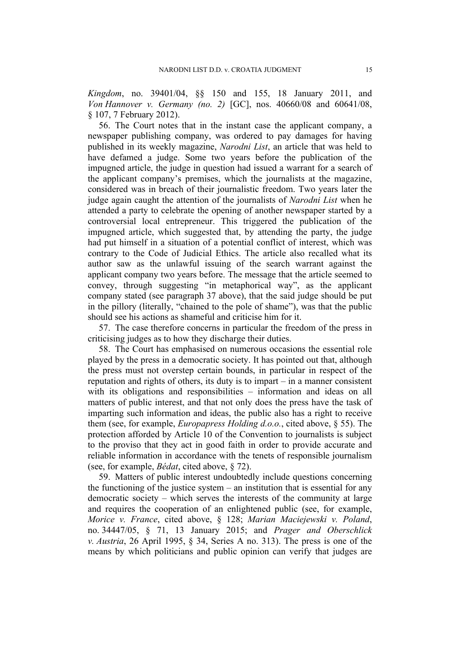*Kingdom*, no. 39401/04, §§ 150 and 155, 18 January 2011, and *Von Hannover v. Germany (no. 2)* [GC], nos. 40660/08 and 60641/08, § 107, 7 February 2012).

56. The Court notes that in the instant case the applicant company, a newspaper publishing company, was ordered to pay damages for having published in its weekly magazine, *Narodni List*, an article that was held to have defamed a judge. Some two years before the publication of the impugned article, the judge in question had issued a warrant for a search of the applicant company's premises, which the journalists at the magazine, considered was in breach of their journalistic freedom. Two years later the judge again caught the attention of the journalists of *Narodni List* when he attended a party to celebrate the opening of another newspaper started by a controversial local entrepreneur. This triggered the publication of the impugned article, which suggested that, by attending the party, the judge had put himself in a situation of a potential conflict of interest, which was contrary to the Code of Judicial Ethics. The article also recalled what its author saw as the unlawful issuing of the search warrant against the applicant company two years before. The message that the article seemed to convey, through suggesting "in metaphorical way", as the applicant company stated (see paragraph 37 above), that the said judge should be put in the pillory (literally, "chained to the pole of shame"), was that the public should see his actions as shameful and criticise him for it.

57. The case therefore concerns in particular the freedom of the press in criticising judges as to how they discharge their duties.

58. The Court has emphasised on numerous occasions the essential role played by the press in a democratic society. It has pointed out that, although the press must not overstep certain bounds, in particular in respect of the reputation and rights of others, its duty is to impart – in a manner consistent with its obligations and responsibilities – information and ideas on all matters of public interest, and that not only does the press have the task of imparting such information and ideas, the public also has a right to receive them (see, for example, *Europapress Holding d.o.o.*, cited above, § 55). The protection afforded by Article 10 of the Convention to journalists is subject to the proviso that they act in good faith in order to provide accurate and reliable information in accordance with the tenets of responsible journalism (see, for example, *Bédat*, cited above, § 72).

59. Matters of public interest undoubtedly include questions concerning the functioning of the justice system  $-$  an institution that is essential for any democratic society – which serves the interests of the community at large and requires the cooperation of an enlightened public (see, for example, *Morice v. France*, cited above, § 128; *Marian Maciejewski v. Poland*, no. 34447/05, § 71, 13 January 2015; and *Prager and Oberschlick v. Austria*, 26 April 1995, § 34, Series A no. 313). The press is one of the means by which politicians and public opinion can verify that judges are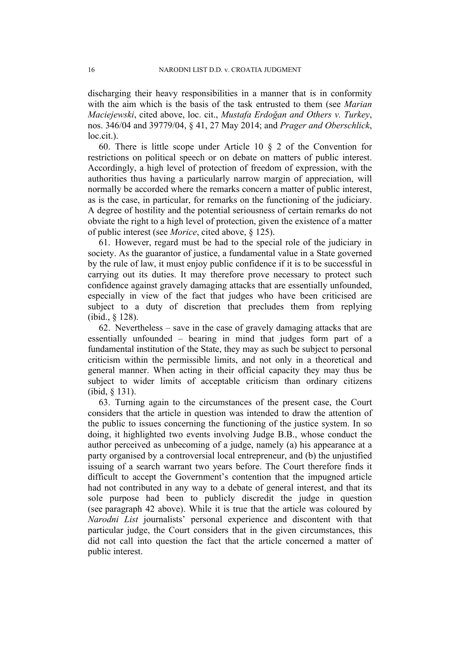discharging their heavy responsibilities in a manner that is in conformity with the aim which is the basis of the task entrusted to them (see *Marian Maciejewski*, cited above, loc. cit., *Mustafa Erdoğan and Others v. Turkey*, nos. 346/04 and 39779/04, § 41, 27 May 2014; and *Prager and Oberschlick*, loc.cit.).

60. There is little scope under Article 10 § 2 of the Convention for restrictions on political speech or on debate on matters of public interest. Accordingly, a high level of protection of freedom of expression, with the authorities thus having a particularly narrow margin of appreciation, will normally be accorded where the remarks concern a matter of public interest, as is the case, in particular, for remarks on the functioning of the judiciary. A degree of hostility and the potential seriousness of certain remarks do not obviate the right to a high level of protection, given the existence of a matter of public interest (see *Morice*, cited above, § 125).

61. However, regard must be had to the special role of the judiciary in society. As the guarantor of justice, a fundamental value in a State governed by the rule of law, it must enjoy public confidence if it is to be successful in carrying out its duties. It may therefore prove necessary to protect such confidence against gravely damaging attacks that are essentially unfounded, especially in view of the fact that judges who have been criticised are subject to a duty of discretion that precludes them from replying (ibid., § 128).

62. Nevertheless – save in the case of gravely damaging attacks that are essentially unfounded – bearing in mind that judges form part of a fundamental institution of the State, they may as such be subject to personal criticism within the permissible limits, and not only in a theoretical and general manner. When acting in their official capacity they may thus be subject to wider limits of acceptable criticism than ordinary citizens (ibid, § 131).

63. Turning again to the circumstances of the present case, the Court considers that the article in question was intended to draw the attention of the public to issues concerning the functioning of the justice system. In so doing, it highlighted two events involving Judge B.B., whose conduct the author perceived as unbecoming of a judge, namely (a) his appearance at a party organised by a controversial local entrepreneur, and (b) the unjustified issuing of a search warrant two years before. The Court therefore finds it difficult to accept the Government's contention that the impugned article had not contributed in any way to a debate of general interest, and that its sole purpose had been to publicly discredit the judge in question (see paragraph 42 above). While it is true that the article was coloured by *Narodni List* journalists' personal experience and discontent with that particular judge, the Court considers that in the given circumstances, this did not call into question the fact that the article concerned a matter of public interest.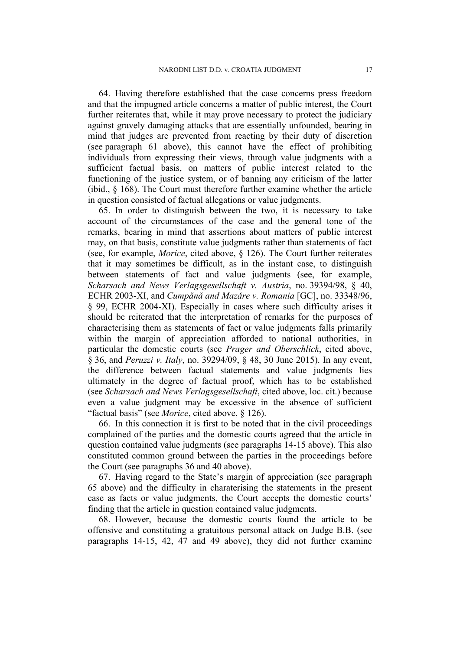64. Having therefore established that the case concerns press freedom and that the impugned article concerns a matter of public interest, the Court further reiterates that, while it may prove necessary to protect the judiciary against gravely damaging attacks that are essentially unfounded, bearing in mind that judges are prevented from reacting by their duty of discretion (see paragraph 61 above), this cannot have the effect of prohibiting individuals from expressing their views, through value judgments with a sufficient factual basis, on matters of public interest related to the functioning of the justice system, or of banning any criticism of the latter (ibid., § 168). The Court must therefore further examine whether the article in question consisted of factual allegations or value judgments.

65. In order to distinguish between the two, it is necessary to take account of the circumstances of the case and the general tone of the remarks, bearing in mind that assertions about matters of public interest may, on that basis, constitute value judgments rather than statements of fact (see, for example, *Morice*, cited above, § 126). The Court further reiterates that it may sometimes be difficult, as in the instant case, to distinguish between statements of fact and value judgments (see, for example, *Scharsach and News Verlagsgesellschaft v. Austria*, no. 39394/98, § 40, ECHR 2003-XI, and *Cumpǎnǎ and Mazǎre v. Romania* [GC], no. 33348/96, § 99, ECHR 2004-XI). Especially in cases where such difficulty arises it should be reiterated that the interpretation of remarks for the purposes of characterising them as statements of fact or value judgments falls primarily within the margin of appreciation afforded to national authorities, in particular the domestic courts (see *Prager and Oberschlick*, cited above, § 36, and *Peruzzi v. Italy*, no. 39294/09, § 48, 30 June 2015). In any event, the difference between factual statements and value judgments lies ultimately in the degree of factual proof, which has to be established (see *Scharsach and News Verlagsgesellschaft*, cited above, loc. cit.) because even a value judgment may be excessive in the absence of sufficient "factual basis" (see *Morice*, cited above, § 126).

66. In this connection it is first to be noted that in the civil proceedings complained of the parties and the domestic courts agreed that the article in question contained value judgments (see paragraphs 14-15 above). This also constituted common ground between the parties in the proceedings before the Court (see paragraphs 36 and 40 above).

67. Having regard to the State's margin of appreciation (see paragraph 65 above) and the difficulty in charaterising the statements in the present case as facts or value judgments, the Court accepts the domestic courts' finding that the article in question contained value judgments.

68. However, because the domestic courts found the article to be offensive and constituting a gratuitous personal attack on Judge B.B. (see paragraphs 14-15, 42, 47 and 49 above), they did not further examine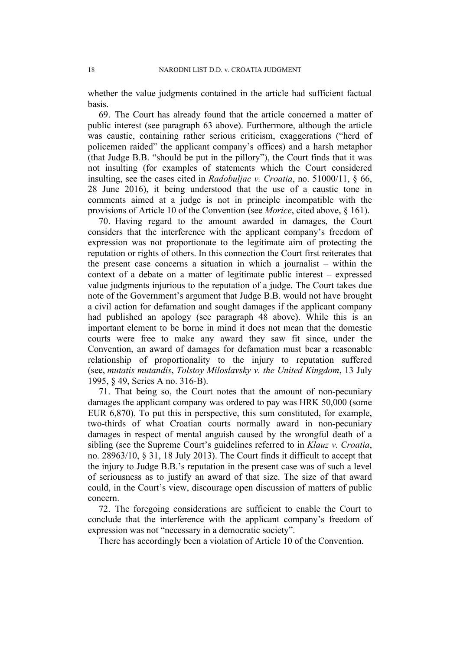whether the value judgments contained in the article had sufficient factual basis.

69. The Court has already found that the article concerned a matter of public interest (see paragraph 63 above). Furthermore, although the article was caustic, containing rather serious criticism, exaggerations ("herd of policemen raided" the applicant company's offices) and a harsh metaphor (that Judge B.B. "should be put in the pillory"), the Court finds that it was not insulting (for examples of statements which the Court considered insulting, see the cases cited in *Radobuljac v. Croatia*, no. 51000/11, § 66, 28 June 2016), it being understood that the use of a caustic tone in comments aimed at a judge is not in principle incompatible with the provisions of Article 10 of the Convention (see *Morice*, cited above, § 161).

70. Having regard to the amount awarded in damages, the Court considers that the interference with the applicant company's freedom of expression was not proportionate to the legitimate aim of protecting the reputation or rights of others. In this connection the Court first reiterates that the present case concerns a situation in which a journalist – within the context of a debate on a matter of legitimate public interest – expressed value judgments injurious to the reputation of a judge. The Court takes due note of the Government's argument that Judge B.B. would not have brought a civil action for defamation and sought damages if the applicant company had published an apology (see paragraph 48 above). While this is an important element to be borne in mind it does not mean that the domestic courts were free to make any award they saw fit since, under the Convention, an award of damages for defamation must bear a reasonable relationship of proportionality to the injury to reputation suffered (see, *mutatis mutandis*, *Tolstoy Miloslavsky v. the United Kingdom*, 13 July 1995, § 49, Series A no. 316-B).

71. That being so, the Court notes that the amount of non-pecuniary damages the applicant company was ordered to pay was HRK 50,000 (some EUR 6,870). To put this in perspective, this sum constituted, for example, two-thirds of what Croatian courts normally award in non-pecuniary damages in respect of mental anguish caused by the wrongful death of a sibling (see the Supreme Court's guidelines referred to in *Klauz v. Croatia*, no. 28963/10, § 31, 18 July 2013). The Court finds it difficult to accept that the injury to Judge B.B.'s reputation in the present case was of such a level of seriousness as to justify an award of that size. The size of that award could, in the Court's view, discourage open discussion of matters of public concern.

72. The foregoing considerations are sufficient to enable the Court to conclude that the interference with the applicant company's freedom of expression was not "necessary in a democratic society".

There has accordingly been a violation of Article 10 of the Convention.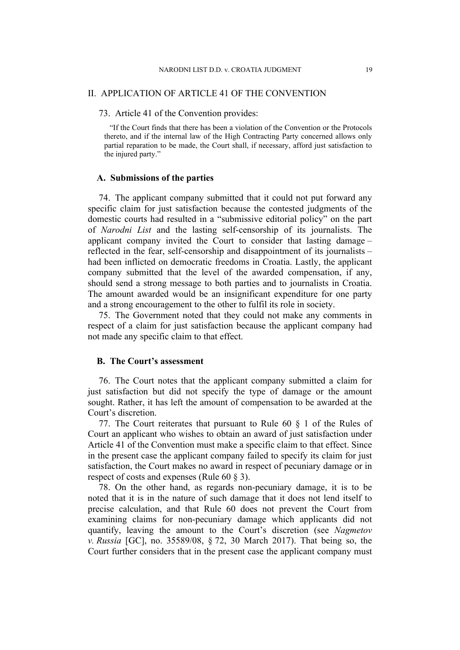## II. APPLICATION OF ARTICLE 41 OF THE CONVENTION

73. Article 41 of the Convention provides:

"If the Court finds that there has been a violation of the Convention or the Protocols thereto, and if the internal law of the High Contracting Party concerned allows only partial reparation to be made, the Court shall, if necessary, afford just satisfaction to the injured party."

### **A. Submissions of the parties**

74. The applicant company submitted that it could not put forward any specific claim for just satisfaction because the contested judgments of the domestic courts had resulted in a "submissive editorial policy" on the part of *Narodni List* and the lasting self-censorship of its journalists. The applicant company invited the Court to consider that lasting damage – reflected in the fear, self-censorship and disappointment of its journalists – had been inflicted on democratic freedoms in Croatia. Lastly, the applicant company submitted that the level of the awarded compensation, if any, should send a strong message to both parties and to journalists in Croatia. The amount awarded would be an insignificant expenditure for one party and a strong encouragement to the other to fulfil its role in society.

75. The Government noted that they could not make any comments in respect of a claim for just satisfaction because the applicant company had not made any specific claim to that effect.

## **B. The Court's assessment**

76. The Court notes that the applicant company submitted a claim for just satisfaction but did not specify the type of damage or the amount sought. Rather, it has left the amount of compensation to be awarded at the Court's discretion.

77. The Court reiterates that pursuant to Rule 60 § 1 of the Rules of Court an applicant who wishes to obtain an award of just satisfaction under Article 41 of the Convention must make a specific claim to that effect. Since in the present case the applicant company failed to specify its claim for just satisfaction, the Court makes no award in respect of pecuniary damage or in respect of costs and expenses (Rule 60 § 3).

78. On the other hand, as regards non-pecuniary damage, it is to be noted that it is in the nature of such damage that it does not lend itself to precise calculation, and that Rule 60 does not prevent the Court from examining claims for non-pecuniary damage which applicants did not quantify, leaving the amount to the Court's discretion (see *Nagmetov v. Russia* [GC], no. 35589/08, § 72, 30 March 2017). That being so, the Court further considers that in the present case the applicant company must